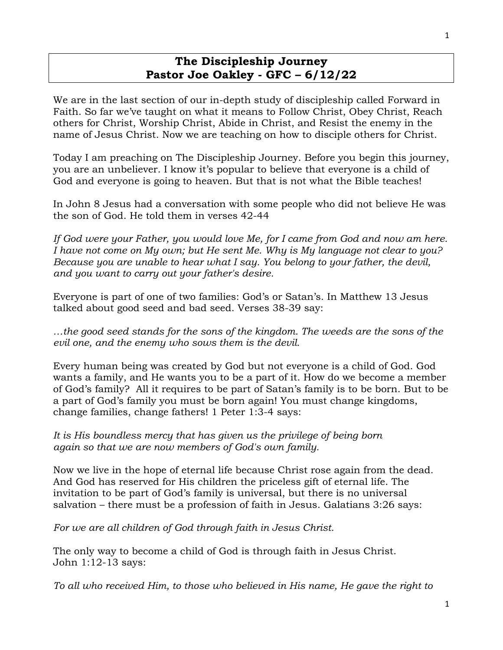## **The Discipleship Journey Pastor Joe Oakley - GFC – 6/12/22**

We are in the last section of our in-depth study of discipleship called Forward in Faith. So far we've taught on what it means to Follow Christ, Obey Christ, Reach others for Christ, Worship Christ, Abide in Christ, and Resist the enemy in the name of Jesus Christ. Now we are teaching on how to disciple others for Christ.

Today I am preaching on The Discipleship Journey. Before you begin this journey, you are an unbeliever. I know it's popular to believe that everyone is a child of God and everyone is going to heaven. But that is not what the Bible teaches!

In John 8 Jesus had a conversation with some people who did not believe He was the son of God. He told them in verses 42-44

If God were your Father, you would love Me, for I came from God and now am here. *I have not come on My own; but He sent Me. Why is My language not clear to you? Because you are unable to hear what I say. You belong to your father, the devil, and you want to carry out your father's desire.* 

Everyone is part of one of two families: God's or Satan's. In Matthew 13 Jesus talked about good seed and bad seed. Verses 38-39 say:

*…the good seed stands for the sons of the kingdom. The weeds are the sons of the evil one, and the enemy who sows them is the devil.* 

Every human being was created by God but not everyone is a child of God. God wants a family, and He wants you to be a part of it. How do we become a member of God's family? All it requires to be part of Satan's family is to be born. But to be a part of God's family you must be born again! You must change kingdoms, change families, change fathers! 1 Peter 1:3-4 says:

*It is His boundless mercy that has given us the privilege of being born again so that we are now members of God's own family.* 

Now we live in the hope of eternal life because Christ rose again from the dead. And God has reserved for His children the priceless gift of eternal life. The invitation to be part of God's family is universal, but there is no universal salvation – there must be a profession of faith in Jesus. Galatians 3:26 says:

*For we are all children of God through faith in Jesus Christ.* 

The only way to become a child of God is through faith in Jesus Christ. John 1:12-13 says:

*To all who received Him, to those who believed in His name, He gave the right to*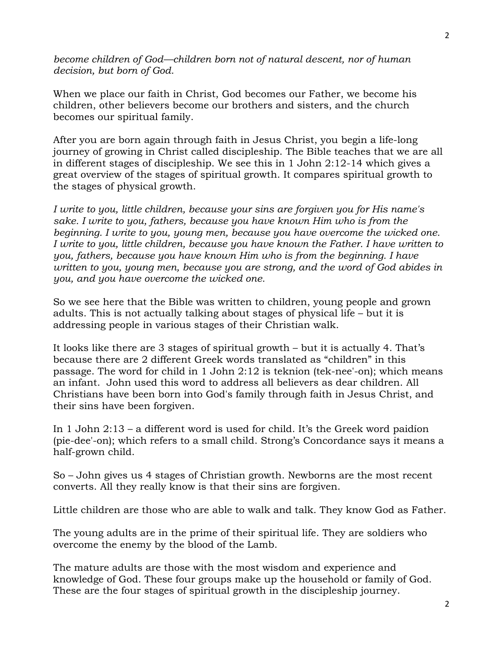*become children of God—children born not of natural descent, nor of human decision, but born of God.* 

When we place our faith in Christ, God becomes our Father, we become his children, other believers become our brothers and sisters, and the church becomes our spiritual family.

After you are born again through faith in Jesus Christ, you begin a life-long journey of growing in Christ called discipleship. The Bible teaches that we are all in different stages of discipleship. We see this in 1 John 2:12-14 which gives a great overview of the stages of spiritual growth. It compares spiritual growth to the stages of physical growth.

*I write to you, little children, because your sins are forgiven you for His name's sake. I write to you, fathers, because you have known Him who is from the beginning. I write to you, young men, because you have overcome the wicked one. I write to you, little children, because you have known the Father. I have written to you, fathers, because you have known Him who is from the beginning. I have written to you, young men, because you are strong, and the word of God abides in you, and you have overcome the wicked one.* 

So we see here that the Bible was written to children, young people and grown adults. This is not actually talking about stages of physical life – but it is addressing people in various stages of their Christian walk.

It looks like there are 3 stages of spiritual growth – but it is actually 4. That's because there are 2 different Greek words translated as "children" in this passage. The word for child in 1 John 2:12 is teknion (tek-nee'-on); which means an infant. John used this word to address all believers as dear children. All Christians have been born into God's family through faith in Jesus Christ, and their sins have been forgiven.

In 1 John 2:13 – a different word is used for child. It's the Greek word paidíon (pie-dee'-on); which refers to a small child. Strong's Concordance says it means a half-grown child.

So – John gives us 4 stages of Christian growth. Newborns are the most recent converts. All they really know is that their sins are forgiven.

Little children are those who are able to walk and talk. They know God as Father.

The young adults are in the prime of their spiritual life. They are soldiers who overcome the enemy by the blood of the Lamb.

The mature adults are those with the most wisdom and experience and knowledge of God. These four groups make up the household or family of God. These are the four stages of spiritual growth in the discipleship journey.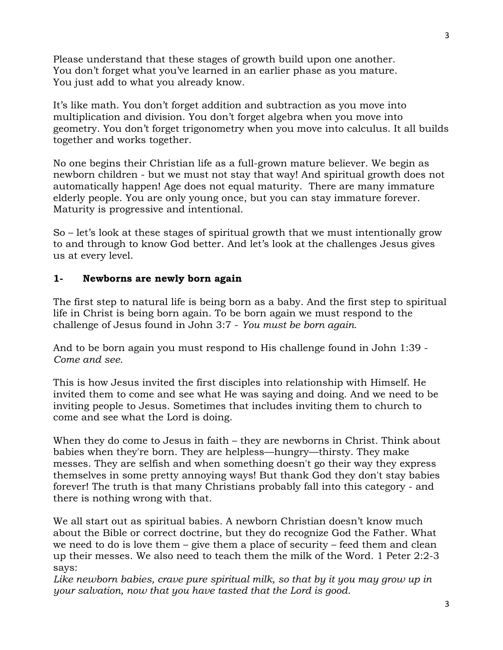Please understand that these stages of growth build upon one another. You don't forget what you've learned in an earlier phase as you mature. You just add to what you already know.

It's like math. You don't forget addition and subtraction as you move into multiplication and division. You don't forget algebra when you move into geometry. You don't forget trigonometry when you move into calculus. It all builds together and works together.

No one begins their Christian life as a full-grown mature believer. We begin as newborn children - but we must not stay that way! And spiritual growth does not automatically happen! Age does not equal maturity. There are many immature elderly people. You are only young once, but you can stay immature forever. Maturity is progressive and intentional.

So – let's look at these stages of spiritual growth that we must intentionally grow to and through to know God better. And let's look at the challenges Jesus gives us at every level.

#### **1- Newborns are newly born again**

The first step to natural life is being born as a baby. And the first step to spiritual life in Christ is being born again. To be born again we must respond to the challenge of Jesus found in John 3:7 - *You must be born again.*

And to be born again you must respond to His challenge found in John 1:39 - *Come and see.*

This is how Jesus invited the first disciples into relationship with Himself. He invited them to come and see what He was saying and doing. And we need to be inviting people to Jesus. Sometimes that includes inviting them to church to come and see what the Lord is doing.

When they do come to Jesus in faith – they are newborns in Christ. Think about babies when they're born. They are helpless—hungry—thirsty. They make messes. They are selfish and when something doesn't go their way they express themselves in some pretty annoying ways! But thank God they don't stay babies forever! The truth is that many Christians probably fall into this category - and there is nothing wrong with that.

We all start out as spiritual babies. A newborn Christian doesn't know much about the Bible or correct doctrine, but they do recognize God the Father. What we need to do is love them – give them a place of security – feed them and clean up their messes. We also need to teach them the milk of the Word. 1 Peter 2:2-3 says:

Like newborn babies, crave pure spiritual milk, so that by it you may grow up in *your salvation, now that you have tasted that the Lord is good.*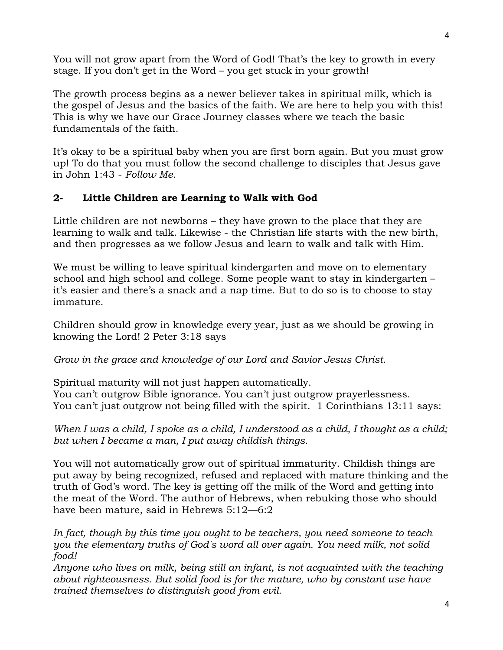You will not grow apart from the Word of God! That's the key to growth in every stage. If you don't get in the Word – you get stuck in your growth!

The growth process begins as a newer believer takes in spiritual milk, which is the gospel of Jesus and the basics of the faith. We are here to help you with this! This is why we have our Grace Journey classes where we teach the basic fundamentals of the faith.

It's okay to be a spiritual baby when you are first born again. But you must grow up! To do that you must follow the second challenge to disciples that Jesus gave in John 1:43 - *Follow Me.*

# **2- Little Children are Learning to Walk with God**

Little children are not newborns – they have grown to the place that they are learning to walk and talk. Likewise - the Christian life starts with the new birth, and then progresses as we follow Jesus and learn to walk and talk with Him.

We must be willing to leave spiritual kindergarten and move on to elementary school and high school and college. Some people want to stay in kindergarten – it's easier and there's a snack and a nap time. But to do so is to choose to stay immature.

Children should grow in knowledge every year, just as we should be growing in knowing the Lord! 2 Peter 3:18 says

### *Grow in the grace and knowledge of our Lord and Savior Jesus Christ.*

Spiritual maturity will not just happen automatically. You can't outgrow Bible ignorance. You can't just outgrow prayerlessness. You can't just outgrow not being filled with the spirit. 1 Corinthians 13:11 says:

*When I was a child, I spoke as a child, I understood as a child, I thought as a child; but when I became a man, I put away childish things.* 

You will not automatically grow out of spiritual immaturity. Childish things are put away by being recognized, refused and replaced with mature thinking and the truth of God's word. The key is getting off the milk of the Word and getting into the meat of the Word. The author of Hebrews, when rebuking those who should have been mature, said in Hebrews 5:12—6:2

*In fact, though by this time you ought to be teachers, you need someone to teach you the elementary truths of God's word all over again. You need milk, not solid food!* 

*Anyone who lives on milk, being still an infant, is not acquainted with the teaching about righteousness. But solid food is for the mature, who by constant use have trained themselves to distinguish good from evil.*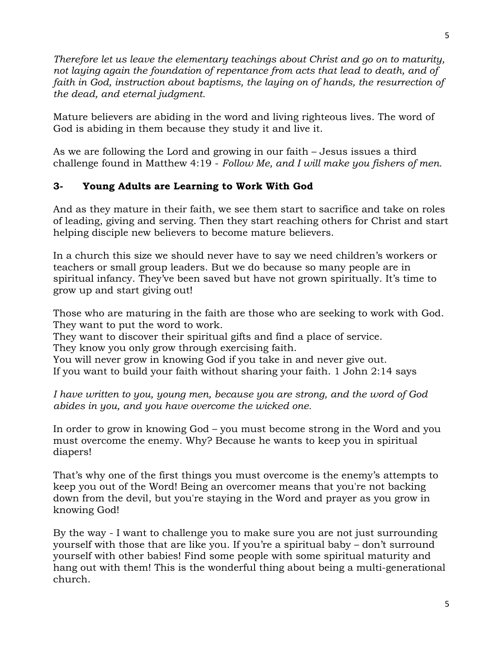*Therefore let us leave the elementary teachings about Christ and go on to maturity,*  not laying again the foundation of repentance from acts that lead to death, and of faith in God, instruction about baptisms, the laying on of hands, the resurrection of *the dead, and eternal judgment.* 

Mature believers are abiding in the word and living righteous lives. The word of God is abiding in them because they study it and live it.

As we are following the Lord and growing in our faith – Jesus issues a third challenge found in Matthew 4:19 - *Follow Me, and I will make you fishers of men.*

## **3- Young Adults are Learning to Work With God**

And as they mature in their faith, we see them start to sacrifice and take on roles of leading, giving and serving. Then they start reaching others for Christ and start helping disciple new believers to become mature believers.

In a church this size we should never have to say we need children's workers or teachers or small group leaders. But we do because so many people are in spiritual infancy. They've been saved but have not grown spiritually. It's time to grow up and start giving out!

Those who are maturing in the faith are those who are seeking to work with God. They want to put the word to work.

They want to discover their spiritual gifts and find a place of service.

They know you only grow through exercising faith.

You will never grow in knowing God if you take in and never give out. If you want to build your faith without sharing your faith. 1 John 2:14 says

*I have written to you, young men, because you are strong, and the word of God abides in you, and you have overcome the wicked one.* 

In order to grow in knowing God – you must become strong in the Word and you must overcome the enemy. Why? Because he wants to keep you in spiritual diapers!

That's why one of the first things you must overcome is the enemy's attempts to keep you out of the Word! Being an overcomer means that you're not backing down from the devil, but you're staying in the Word and prayer as you grow in knowing God!

By the way - I want to challenge you to make sure you are not just surrounding yourself with those that are like you. If you're a spiritual baby – don't surround yourself with other babies! Find some people with some spiritual maturity and hang out with them! This is the wonderful thing about being a multi-generational church.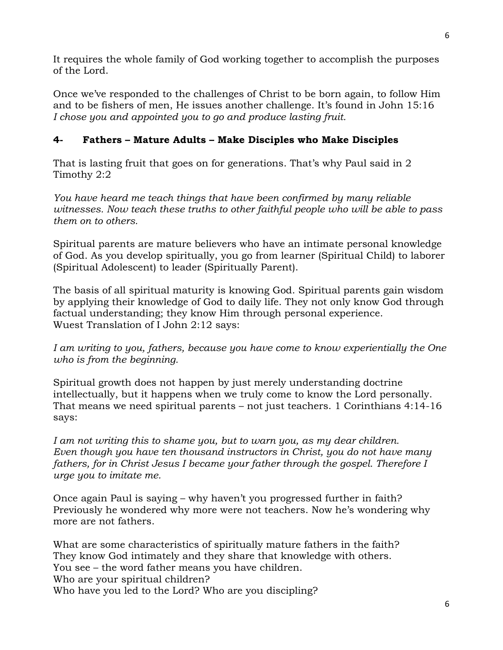It requires the whole family of God working together to accomplish the purposes of the Lord.

Once we've responded to the challenges of Christ to be born again, to follow Him and to be fishers of men, He issues another challenge. It's found in John 15:16 *I chose you and appointed you to go and produce lasting fruit.*

# **4- Fathers – Mature Adults – Make Disciples who Make Disciples**

That is lasting fruit that goes on for generations. That's why Paul said in 2 Timothy 2:2

*You have heard me teach things that have been confirmed by many reliable witnesses. Now teach these truths to other faithful people who will be able to pass them on to others.*

Spiritual parents are mature believers who have an intimate personal knowledge of God. As you develop spiritually, you go from learner (Spiritual Child) to laborer (Spiritual Adolescent) to leader (Spiritually Parent).

The basis of all spiritual maturity is knowing God. Spiritual parents gain wisdom by applying their knowledge of God to daily life. They not only know God through factual understanding; they know Him through personal experience. Wuest Translation of I John 2:12 says:

*I am writing to you, fathers, because you have come to know experientially the One who is from the beginning.*

Spiritual growth does not happen by just merely understanding doctrine intellectually, but it happens when we truly come to know the Lord personally. That means we need spiritual parents – not just teachers. 1 Corinthians 4:14-16 says:

*I am not writing this to shame you, but to warn you, as my dear children. Even though you have ten thousand instructors in Christ, you do not have many fathers, for in Christ Jesus I became your father through the gospel. Therefore I urge you to imitate me.* 

Once again Paul is saying – why haven't you progressed further in faith? Previously he wondered why more were not teachers. Now he's wondering why more are not fathers.

What are some characteristics of spiritually mature fathers in the faith? They know God intimately and they share that knowledge with others. You see – the word father means you have children. Who are your spiritual children? Who have you led to the Lord? Who are you discipling?